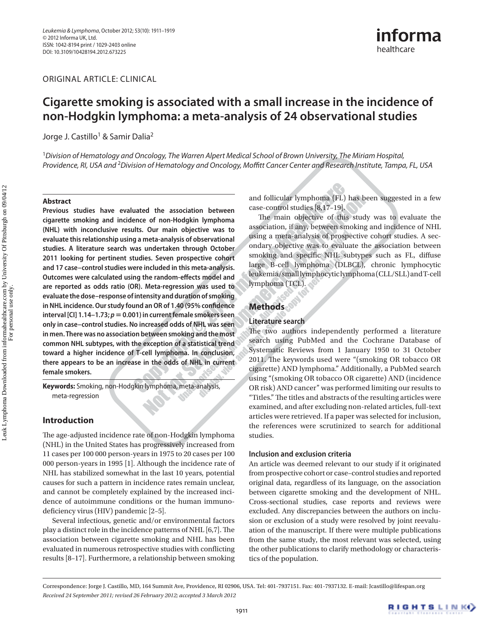ORIGINAL ARTICLE: CLINICAL

# **Cigarette smoking is associated with a small increase in the incidence of non-Hodgkin lymphoma: a meta-analysis of 24 observational studies**

Jorge J. Castillo<sup>1</sup> & Samir Dalia<sup>2</sup>

<sup>1</sup> Division of Hematology and Oncology, The Warren Alpert Medical School of Brown University, The Miriam Hospital, Providence, RI, USA and <sup>2</sup> Division of Hematology and Oncology, Moffitt Cancer Center and Research Institute, Tampa, FL, USA

#### **Abstract**

 **Previous studies have evaluated the association between cigarette smoking and incidence of non-Hodgkin lymphoma (NHL) with inconclusive results. Our main objective was to evaluate this relationship using a meta-analysis of observational studies. A literature search was undertaken through October 2011 looking for pertinent studies. Seven prospective cohort and 17 case – control studies were included in this meta-analysis. Outcomes were calculated using the random-effects model and are reported as odds ratio (OR). Meta-regression was used to evaluate the dose – response of intensity and duration of smoking**  in NHL incidence. Our study found an OR of 1.40 (95% confidence **interval [CI] 1.14 – 1.73; p** - **0.001) in current female smokers seen only in case – control studies. No increased odds of NHL was seen in men. There was no association between smoking and the most common NHL subtypes, with the exception of a statistical trend toward a higher incidence of T-cell lymphoma. In conclusion, there appears to be an increase in the odds of NHL in current female smokers.** 

Keywords: Smoking, non-Hodgkin lymphoma, meta-analysis, meta-regression

### **Introduction**

The age-adjusted incidence rate of non-Hodgkin lymphoma (NHL) in the United States has progressively increased from 11 cases per 100 000 person-years in 1975 to 20 cases per 100 000 person-years in 1995 [1]. Although the incidence rate of NHL has stabilized somewhat in the last 10 years, potential causes for such a pattern in incidence rates remain unclear, and cannot be completely explained by the increased incidence of autoimmune conditions or the human immunodeficiency virus (HIV) pandemic  $[2-5]$ .

 Several infectious, genetic and/or environmental factors play a distinct role in the incidence patterns of NHL  $[6,7]$ . The association between cigarette smoking and NHL has been evaluated in numerous retrospective studies with conflicting results [8-17]. Furthermore, a relationship between smoking and follicular lymphoma (FL) has been suggested in a few case-control studies [8,17-19].

The main objective of this study was to evaluate the association, if any, between smoking and incidence of NHL using a meta-analysis of prospective cohort studies. A secondary objective was to evaluate the association between smoking and specific NHL subtypes such as FL, diffuse large B-cell lymphoma (DLBCL), chronic lymphocytic leukemia/small lymphocytic lymphoma (CLL/SLL) and T-cell lymphoma (TCL).

## **Methods**

#### **Literature search**

The two authors independently performed a literature search using PubMed and the Cochrane Database of Systematic Reviews from 1 January 1950 to 31 October 2011. The keywords used were "(smoking OR tobacco OR cigarette) AND lymphoma." Additionally, a PubMed search using "(smoking OR tobacco OR cigarette) AND (incidence OR risk) AND cancer " was performed limiting our results to "Titles." The titles and abstracts of the resulting articles were examined, and after excluding non-related articles, full-text articles were retrieved. If a paper was selected for inclusion, the references were scrutinized to search for additional studies.

#### **Inclusion and exclusion criteria**

 An article was deemed relevant to our study if it originated from prospective cohort or case – control studies and reported original data, regardless of its language, on the association between cigarette smoking and the development of NHL. Cross-sectional studies, case reports and reviews were excluded. Any discrepancies between the authors on inclusion or exclusion of a study were resolved by joint reevaluation of the manuscript. If there were multiple publications from the same study, the most relevant was selected, using the other publications to clarify methodology or characteristics of the population.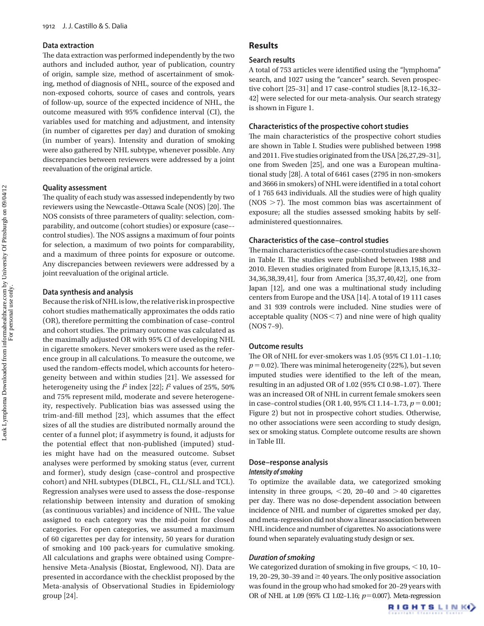#### **Data extraction**

The data extraction was performed independently by the two authors and included author, year of publication, country of origin, sample size, method of ascertainment of smoking, method of diagnosis of NHL, source of the exposed and non-exposed cohorts, source of cases and controls, years of follow-up, source of the expected incidence of NHL, the outcome measured with 95% confidence interval (CI), the variables used for matching and adjustment, and intensity (in number of cigarettes per day) and duration of smoking (in number of years). Intensity and duration of smoking were also gathered by NHL subtype, whenever possible. Any discrepancies between reviewers were addressed by a joint reevaluation of the original article.

#### **Quality assessment**

The quality of each study was assessed independently by two reviewers using the Newcastle-Ottawa Scale (NOS) [20]. The NOS consists of three parameters of quality: selection, comparability, and outcome (cohort studies) or exposure (case-control studies). The NOS assigns a maximum of four points for selection, a maximum of two points for comparability, and a maximum of three points for exposure or outcome. Any discrepancies between reviewers were addressed by a joint reevaluation of the original article.

#### **Data synthesis and analysis**

 Because the risk of NHL is low, the relative risk in prospective cohort studies mathematically approximates the odds ratio (OR), therefore permitting the combination of case – control and cohort studies. The primary outcome was calculated as the maximally adjusted OR with 95% CI of developing NHL in cigarette smokers. Never smokers were used as the reference group in all calculations. To measure the outcome, we used the random-effects model, which accounts for heterogeneity between and within studies [21]. We assessed for heterogeneity using the *I*2 index [22]; *I*2 values of 25%, 50% and 75% represent mild, moderate and severe heterogeneity, respectively. Publication bias was assessed using the trim-and-fill method [23], which assumes that the effect sizes of all the studies are distributed normally around the center of a funnel plot; if asymmetry is found, it adjusts for the potential effect that non-published (imputed) studies might have had on the measured outcome. Subset analyses were performed by smoking status (ever, current and former), study design (case – control and prospective cohort) and NHL subtypes (DLBCL, FL, CLL/SLL and TCL). Regression analyses were used to assess the dose – response relationship between intensity and duration of smoking (as continuous variables) and incidence of NHL. The value assigned to each category was the mid-point for closed categories. For open categories, we assumed a maximum of 60 cigarettes per day for intensity, 50 years for duration of smoking and 100 pack-years for cumulative smoking. All calculations and graphs were obtained using Comprehensive Meta-Analysis (Biostat, Englewood, NJ). Data are presented in accordance with the checklist proposed by the Meta-analysis of Observational Studies in Epidemiology group [24].

### **Results**

#### **Search results**

A total of 753 articles were identified using the "lymphoma" search, and 1027 using the "cancer" search. Seven prospective cohort  $[25-31]$  and 17 case-control studies  $[8,12-16,32-$  42] were selected for our meta-analysis. Our search strategy is shown in Figure 1.

#### **Characteristics of the prospective cohort studies**

The main characteristics of the prospective cohort studies are shown in Table I. Studies were published between 1998 and 2011. Five studies originated from the USA [26,27,29-31], one from Sweden [25], and one was a European multinational study [28]. A total of 6461 cases (2795 in non-smokers and 3666 in smokers) of NHL were identified in a total cohort of 1 765 643 individuals. All the studies were of high quality ( $NOS > 7$ ). The most common bias was ascertainment of exposure; all the studies assessed smoking habits by selfadministered questionnaires.

#### **Characteristics of the case – control studies**

The main characteristics of the case-control studies are shown in Table II. The studies were published between 1988 and 2010. Eleven studies originated from Europe [8,13,15,16,32 – 34,36,38,39,41], four from America [35,37,40,42], one from Japan [12], and one was a multinational study including centers from Europe and the USA [14]. A total of 19 111 cases and 31 939 controls were included. Nine studies were of acceptable quality ( $NOS < 7$ ) and nine were of high quality  $($ NOS 7-9 $).$ 

#### **Outcome results**

The OR of NHL for ever-smokers was  $1.05$  (95% CI  $1.01$ - $1.10$ ;  $p = 0.02$ ). There was minimal heterogeneity (22%), but seven imputed studies were identified to the left of the mean, resulting in an adjusted OR of 1.02 (95% CI 0.98-1.07). There was an increased OR of NHL in current female smokers seen in case-control studies (OR 1.40, 95% CI 1.14-1.73,  $p = 0.001$ ; Figure 2) but not in prospective cohort studies. Otherwise, no other associations were seen according to study design, sex or smoking status. Complete outcome results are shown in Table III.

#### **Dose – response analysis**

#### *Intensity of smoking*

 To optimize the available data, we categorized smoking intensity in three groups,  $\leq 20$ , 20-40 and  $>$ 40 cigarettes per day. There was no dose-dependent association between incidence of NHL and number of cigarettes smoked per day, and meta-regression did not show a linear association between NHL incidence and number of cigarettes. No associations were found when separately evaluating study design or sex.

#### **Duration of smoking**

We categorized duration of smoking in five groups,  $\leq$  10, 10-19, 20 – 29, 30 – 39 and  $\geq$  40 years. The only positive association was found in the group who had smoked for 20-29 years with OR of NHL at 1.09 (95% CI 1.02-1.16;  $p=0.007$ ). Meta-regression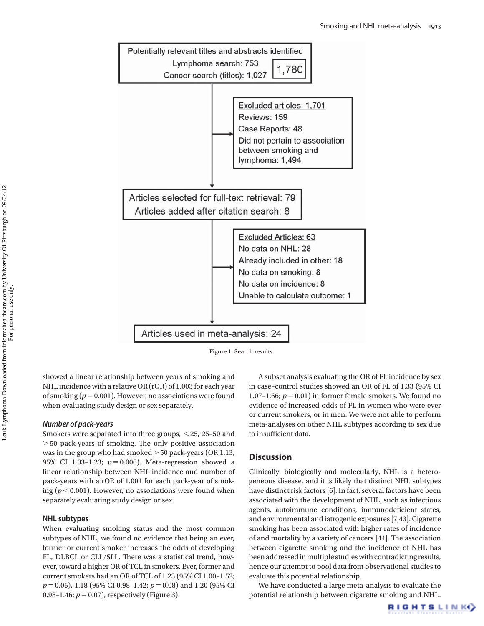

Figure 1. Search results.

showed a linear relationship between years of smoking and NHL incidence with a relative OR (rOR) of 1.003 for each year of smoking  $(p = 0.001)$ . However, no associations were found when evaluating study design or sex separately.

#### **Number of pack-years**

Smokers were separated into three groups, <25, 25-50 and > 50 pack-years of smoking. The only positive association was in the group who had smoked  $>$  50 pack-years (OR 1.13, 95% CI 1.03-1.23;  $p = 0.006$ ). Meta-regression showed a linear relationship between NHL incidence and number of pack-years with a rOR of 1.001 for each pack-year of smoking  $(p < 0.001)$ . However, no associations were found when separately evaluating study design or sex.

#### **NHL subtypes**

 When evaluating smoking status and the most common subtypes of NHL, we found no evidence that being an ever, former or current smoker increases the odds of developing FL, DLBCL or CLL/SLL. There was a statistical trend, however, toward a higher OR of TCL in smokers. Ever, former and current smokers had an OR of TCL of 1.23 (95% CI 1.00-1.52; *p* = 0.05), 1.18 (95% CI 0.98-1.42; *p* = 0.08) and 1.20 (95% CI 0.98 – 1.46;  $p = 0.07$ ), respectively (Figure 3).

 A subset analysis evaluating the OR of FL incidence by sex in case – control studies showed an OR of FL of 1.33 (95% CI 1.07-1.66;  $p = 0.01$ ) in former female smokers. We found no evidence of increased odds of FL in women who were ever or current smokers, or in men. We were not able to perform meta-analyses on other NHL subtypes according to sex due to insufficient data.

#### **Discussion**

 Clinically, biologically and molecularly, NHL is a heterogeneous disease, and it is likely that distinct NHL subtypes have distinct risk factors [6]. In fact, several factors have been associated with the development of NHL, such as infectious agents, autoimmune conditions, immunodeficient states, and environmental and iatrogenic exposures [7,43]. Cigarette smoking has been associated with higher rates of incidence of and mortality by a variety of cancers [44]. The association between cigarette smoking and the incidence of NHL has been addressed in multiple studies with contradicting results, hence our attempt to pool data from observational studies to evaluate this potential relationship.

 We have conducted a large meta-analysis to evaluate the potential relationship between cigarette smoking and NHL.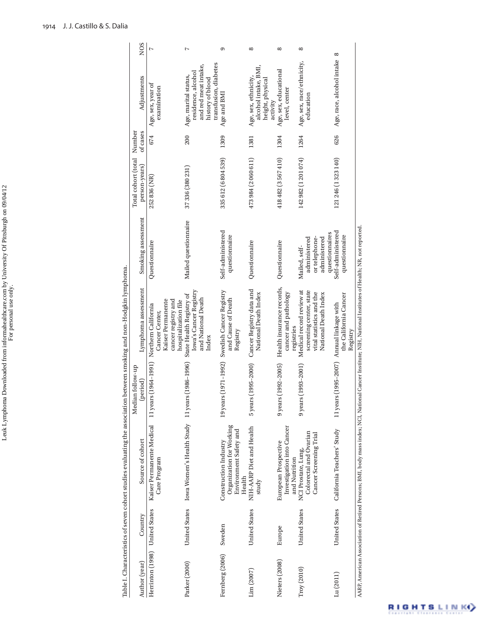|                                |                      | Table I. Characteristics of seven cohort studies evaluating the association between smoking and non-Hodgkin lymphoma. |                                          |                                                                                                           |                                                                |                                      |                    |                                                                                        |                 |
|--------------------------------|----------------------|-----------------------------------------------------------------------------------------------------------------------|------------------------------------------|-----------------------------------------------------------------------------------------------------------|----------------------------------------------------------------|--------------------------------------|--------------------|----------------------------------------------------------------------------------------|-----------------|
| Author (year)                  | Country              | Source of cohort                                                                                                      | Median follow-up<br>(period)             | Lymphoma assessment                                                                                       | Smoking assessment                                             | Total cohort (total<br>person-years) | Number<br>of cases | Adjustments                                                                            | N <sub>OS</sub> |
| Herrinton (1998) United States |                      | Kaiser Permanente Medical<br>Care Program                                                                             | 11 years (1964-1991)                     | Kaiser Permanente<br>cancer registry and<br>Northern California<br>Cancer Center,                         | Questionnaire                                                  | 252 836 (NR)                         | 674                | Age, sex, year of<br>examination                                                       | $\overline{ }$  |
| Parker (2000)                  | <b>United States</b> | Iowa Women's Health Study 11 years (1986-1996)                                                                        |                                          | Iowa's Cancer Registry<br>State Health Registry of<br>and National Death<br>hospitalization file<br>Index | Mailed questionnaire                                           | 37 336 (380 231)                     | 200                | and red meat intake,<br>residence, alcohol<br>Age, marital status,<br>history of blood | Ņ               |
| Fernberg (2006)                | Sweden               | Organization for Working<br>Environment Safety and<br>Construction Industry<br>Health                                 | 1971-1992)<br>19 years (                 | Swedish Cancer Registry<br>and Cause of Death<br>Registry                                                 | Self-administered<br>questionnaire                             | 335 612 (6 804 539)                  | 1309               | transfusion, diabetes<br>Age and BMI                                                   | ග               |
| Lim (2007)                     | <b>United States</b> | NIH-AARP Diet and Health<br>study                                                                                     | $995 - 2000$<br>5 years (1               | Cancer Registry data and<br>National Death Index                                                          | Questionnaire                                                  | 473 984 (2 060 611)                  | 1381               | alcohol intake, BMI,<br>Age, sex, ethnicity,<br>height, physical<br>activity           | $\infty$        |
| Nieters (2008)                 | Europe               | Investigation into Cancer<br>European Prospective<br>and Nutrition                                                    | $992 - 2005$<br>$9$ years $(1)$          | Health insurance records,<br>cancer and pathology<br>registries                                           | Questionnaire                                                  | 418 482 (3 567 410)                  | 1304               | Age, sex, educational<br>level, center                                                 | $^{\circ}$      |
| Troy(2010)                     | <b>United States</b> | Colorectal and Ovarian<br>Cancer Screening Trial<br>NCI Prostate, Lung,                                               | $993 - 2001$<br>$9$ years $(1)$          | Medical record review at<br>screening center, state<br>vital statistics and the<br>National Death Index   | administered<br>or telephone-<br>administered<br>Mailed, self- | 142 982 (1 201 074)                  | 1264               | Age, sex, race/ethnicity,<br>education                                                 | $^{\circ}$      |
| Lu(2011)                       | <b>United States</b> | California Teachers' Study                                                                                            | 11 years (1995-2007) Annual linkage with | the California Cancer<br>Registry                                                                         | Self-administered<br>questionnaires<br>questionnaire           | 121 246 (1 323 140)                  | 626                | Age, race, alcohol intake                                                              | ∞               |
|                                |                      |                                                                                                                       |                                          |                                                                                                           |                                                                |                                      |                    |                                                                                        |                 |

 AARP, American Association of Retired Persons; BMI, body mass index; NCI, National Cancer Institute; NIH, National Institutes of Health; NR, not reported. AARP, American Association of Retired Persons; BMI, body mass index; NCI, National Cancer Institute; NIH, National Institutes of Health; NR, not reported.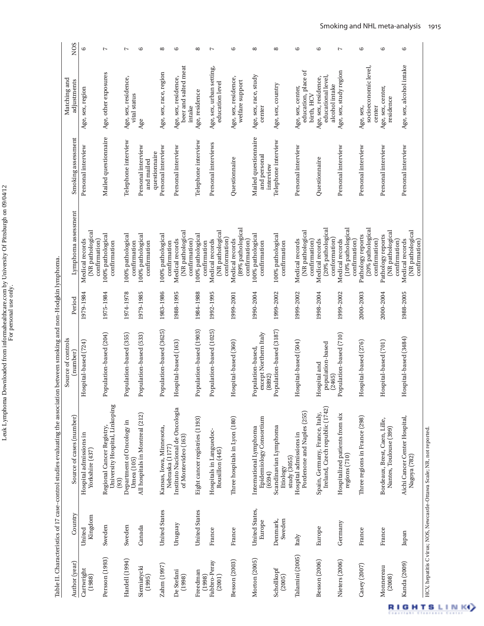Leuk Lymphoma Downloaded from informahealthcare.com by University Of Pittsburgh on 09/04/12<br>For personal use only. Leuk Lymphoma Downloaded from informahealthcare.com by University Of Pittsburgh on 09/04/12 For personal use only.

NOS adjustments NOS Personal interview Age, sex, region 6 Mailed questionnaire Age, other exposures 7 Age 6 Personal interview Age, sex, race, region 8 Telephone interview  $\begin{array}{c} \text{Age, residue} \end{array}$ Telephone interview Age, sex, country 8 Personal interview Age, sex, study region 7 Personal interview Age, sex, alcohol intake 6 Age, sex, alcohol intake beer and salted meat Personal interviews Age, sex, urban setting, socioeconomic level, Age, sex, urban setting, socioeconomic level, beer and salted meat education, place of education, place of Age, sex, study region Age, sex, race, region Age, other exposures Age, sex, race, study educational level, Telephone interview Age, sex, residence, Personal interview Age, sex, residence, Questionnaire Age, sex, residence, Questionnaire Age, sex, residence, Age, sex, race, study Age, sex, residence,<br>educational level, Matching and Age, sex, residence,<br>vital status Age, sex, residence, Age, sex, residence, Matching and adjustments welfare support welfare support education level education level Age, sex, country Personal interview Age, sex, center, alcohol intake alcohol intake Personal interview Age, sex, center, Age, sex, center, Age, sex, center, Age, sex, region Age, residence birth, HCV vital status birth, HC residence residence Personal interview Age, sex, intake center Age, sex, center Age Mailed questionnaire Mailed questionnaire Mailed questionnaire (number) Period Lymphoma assessment Smoking assessment Smoking assessment Telephone interview Telephone interview Telephone interview Personal interviews Personal interview Personal interview Personal interview Personal interview Personal interview Personal interview Personal interview Personal interview Personal interview Personal interview questionnaire questionnaire and personal and personal Questionnaire Questionnaire and mailed and mailed interview interview Lymphoma assessment (89% pathological (20% pathological (10% pathological (20% pathological (89% pathological Medical records<br>(20% pathological (20% pathological (10% pathological (NR pathological (NR pathological spitals in Languedoc- Population-based (1025) 1992-1995 Medical records<br>Rousillon (445) (NR pathological (NR pathological (NR pathological (NR pathological (NR pathological (NR pathological (NR pathological (NR pathological (NR pathological Population-based (204) 1975-1984 100% pathological Population-based (355) 1974 – 1978 100% pathological Canada All hospitals in Montreal (212) Population-based (533) 1979 – 1985 100% pathological Population-based (3625) 1983-1986 100% pathological United States Eight cancer registries (1193) Population-based (1903) 1984 – 1988 100% pathological 1990 – 2004 100% pathological Population-based (3187) 1999-2002 100% pathological 100% pathological<br>confirmation 100% pathological 100% pathological 100% pathological 100% pathological 100% pathological Pathology reports Casey (2007) France Three regions in France (298) Hospital-based (276) 2000-2003 Pathology reports Hospital-based (701) 2000-2004 Pathology reports .00% pathologica Pathology reports conformation) conformation) Hospital-based (724) 1979-1984 Medical records Hospital-based (163) 1988 – 1995 Medical records conformation Besson (2003) France Three hospitals in Lyon (180) Hospital-based (360) 1999-2001 Medical records Hospital-based (504) 1999 – 2002 Medical records 1998 – 2004 Medical records conformation) Population-based (710) 1999-2002 Medical records Hospital-based (3484) 1988-2005 Medical records Medical records confirmation) confirmation Medical records confirmation) confirmation) confirmation Medical records Medical records confirmation) confirmation) Medical records confirmation) confirmation) Medical records confirmation) confirmation) confirmation) confirmation) confirmation) confirmation) Medical records confirmation confirmation) confirmation confirmation confirmation confirmation confirmation confirmation confirmation confirmation confirmation **confirmation** confirmation **confirmation**  Table II. Characteristics of 17 case – control studies evaluating the association between smoking and non-Hodgkin lymphoma. Table II. Characteristics of 17 case-control studies evaluating the association between smoking and non-Hodgkin lymphoma. 1975-1984 1974-1978 1979-1985 1983-1986 1988-1995 1984-1988 1992-1995 1990-2004 1999-2002 1999-2002 1998-2004 1999-2002 2000-2003 2000-2004 1988-2005 1979-1984 1999-2001 Period Population-based (3625) Population-based (1903) Population-based (1025) Population-based (204) Population-based (533) except Northern Italy Population-based (355) except Northern Italy (2465)<br>Population-based (710) Hospital-based (3484) Source of controls Source of controls Hospital-based (360) Hospital-based (724) Hospital-based (163) Hospital-based (504) Hospital-based (276) Hospital-based (701) population-based population-based Population-based, Population-based, (number) Hospital and Hospital and (8892) University Hospital, Linkoping University Hospital, Linkoping Uruguay Instituto Nacional de Oncologia Spain, Germany, France, Italy,<br>Ireland, Czech republic (1742) Ireland, Czech republic (1742) nstituto Nacional de Oncologia Pordenone and Naples (255) Besson (2006) Europe Spain, Germany, France, Italy, Pordenone and Naples (255) Nieters (2006) Germany Hospitalized patients from six All hospitals in Montreal (212) Hospitalized patients from six<br>regions (710) Kanda (2009) Japan Aichi Cancer Center Hospital, Source of cases (number) Author (year) Country Source of cases (number) Epidemiology Consortium Three regions in France (298) Three hospitals in Lyon (180) Epidemiology Consortium France Bordeaux, Brest, Caen, Lille, Aichi Cancer Center Hospital, Eight cancer registries (1193) Bordeaux, Brest, Caen, Lille, Department of Oncology in Hardell (1994) Sweden Department of Oncology in Persson (1993) Sweden Regional Cancer Registry, Zahm (1997) United States Kansas, Iowa, Minnesota, International Lymphoma Scandinavian Lymphoma Regional Cancer Registry, Kansas, Iowa, Minnesota, International Lymphoma (6594)<br>Scandinavian Lymphoma Nantes, Toulouse (399) Nantes, Toulouse (399) Hospitals in Languedoc-<br>Rousillon (445) France Hospitals in Languedoc-Hospital admissions in Hospital admissions in Talamini (2005) Italy Hospital admissions in Hospital admissions in of Montevideo (163) of Montevideo (163 Nebraska (1177) Nebraska (1177 Yorkshire (437) Yorkshire (437) Nagoya (782) regions (710) Nagoya (782) Etiology<br>study (3055) study (3055) Umea (105) Umea (105) (93) Morton (2005) United States, United States, **United States Jnited States** Country Kingdom Jenmark, Denmark, Sweden Europe Uruguay Germany Sweden Canada Europe United Sweden France France France France Japan Italy Talamini (2005) Persson (1993) Hardell (1994) Morton (2005) Fabbro-Peray Fabbro-Peray Besson (2006) Nieters (2006) Besson (2003) Author (year) Kanda (2009) Zahm (1997) Casey (2007) Siemiatycki Monnereau Siemiatycki Schollkopf<br>(2005) Monnereau Cartwright<br>(1988) Cartwright Schollkopf De Stefani De Stefani Freedman Freedman (1995) (1998) (1998) (2001) (2008)

7

 $\circ$ 

 $\circ$ 

 $\overline{a}$ 

6

 $\infty$ 

 $\sim$ 

 $\infty$ 

6

 $^{\circ}$ 

 $\infty$ 

6

6

 $\sim$ 

6

 $\circ$ 

6

**IGHTSLINKO** 

HCV, hepatitis C virus; NOS, Newcastle – Ottawa Scale; NR, not reported.

HCV, hepatitis C virus; NOS, Newcastle-Ottawa Scale; NR, not reported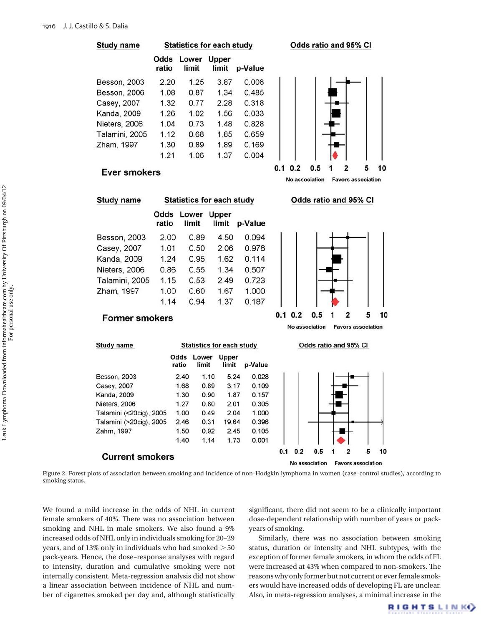





## **Ever smokers**



 Figure 2. Forest plots of association between smoking and incidence of non-Hodgkin lymphoma in women (case – control studies), according to smoking status.

We found a mild increase in the odds of NHL in current female smokers of 40%. There was no association between smoking and NHL in male smokers. We also found a 9% increased odds of NHL only in individuals smoking for 20 – 29 years, and of 13% only in individuals who had smoked  $>$  50 pack-years. Hence, the dose – response analyses with regard to intensity, duration and cumulative smoking were not internally consistent. Meta-regression analysis did not show a linear association between incidence of NHL and number of cigarettes smoked per day and, although statistically

significant, there did not seem to be a clinically important dose-dependent relationship with number of years or packyears of smoking.

 Similarly, there was no association between smoking status, duration or intensity and NHL subtypes, with the exception of former female smokers, in whom the odds of FL were increased at 43% when compared to non-smokers. The reasons why only former but not current or ever female smokers would have increased odds of developing FL are unclear. Also, in meta-regression analyses, a minimal increase in the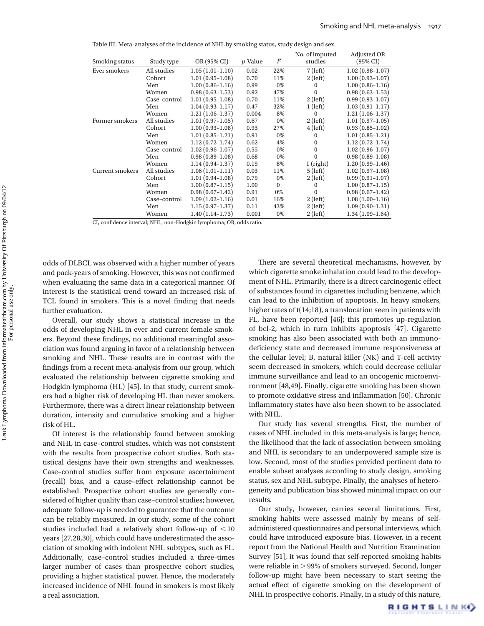| Smoking status         | Study type   | OR (95% CI)         | $p$ -Value | $I^2$    | No. of imputed<br>studies | Adjusted OR<br>$(95\% \text{ CI})$ |
|------------------------|--------------|---------------------|------------|----------|---------------------------|------------------------------------|
| Ever smokers           | All studies  | $1.05(1.01-1.10)$   | 0.02       | 22%      | $7$ (left)                | $1.02(0.98-1.07)$                  |
|                        | Cohort       | $1.01(0.95-1.08)$   | 0.70       | 11%      | $2$ (left)                | $1.00(0.93 - 1.07)$                |
|                        | Men          | $1.00(0.86 - 1.16)$ | 0.99       | 0%       | $\bf{0}$                  | $1.00(0.86 - 1.16)$                |
|                        | Women        | $0.98(0.63 - 1.53)$ | 0.92       | 47%      | $\mathbf{0}$              | $0.98(0.63 - 1.53)$                |
|                        | Case-control | $1.01(0.95-1.08)$   | 0.70       | 11%      | $2$ (left)                | $0.99(0.93 - 1.07)$                |
|                        | Men          | $1.04(0.93-1.17)$   | 0.47       | 32%      | $1$ (left)                | $1.03(0.91 - 1.17)$                |
|                        | Women        | $1.21(1.06-1.37)$   | 0.004      | 8%       | $\Omega$                  | $1.21(1.06-1.37)$                  |
| Former smokers         | All studies  | $1.01(0.97-1.05)$   | 0.67       | 0%       | $2$ (left)                | $1.01(0.97-1.05)$                  |
|                        | Cohort       | $1.00(0.93-1.08)$   | 0.93       | 27%      | $4$ (left)                | $0.93(0.85-1.02)$                  |
|                        | Men          | $1.01(0.85-1.21)$   | 0.91       | 0%       | $\bf{0}$                  | $1.01(0.85-1.21)$                  |
|                        | Women        | $1.12(0.72 - 1.74)$ | 0.62       | 4%       | $\bf{0}$                  | $1.12(0.72 - 1.74)$                |
|                        | Case-control | $1.02(0.96 - 1.07)$ | 0.55       | $0\%$    | $\mathbf{0}$              | $1.02(0.96 - 1.07)$                |
|                        | Men          | $0.98(0.89-1.08)$   | 0.68       | 0%       | $\bf{0}$                  | $0.98(0.89 - 1.08)$                |
|                        | Women        | $1.14(0.94-1.37)$   | 0.19       | 8%       | $1$ (right)               | $1.20(0.99-1.46)$                  |
| <b>Current smokers</b> | All studies  | $1.06(1.01-1.11)$   | 0.03       | 11%      | $5$ (left)                | $1.02(0.97-1.08)$                  |
|                        | Cohort       | $1.01(0.94-1.08)$   | 0.79       | 0%       | $2$ (left)                | $0.99(0.91-1.07)$                  |
|                        | Men          | $1.00(0.87-1.15)$   | 1.00       | $\Omega$ | $\bf{0}$                  | $1.00(0.87-1.15)$                  |
|                        | Women        | $0.98(0.67-1.42)$   | 0.91       | 0%       | $\theta$                  | $0.98(0.67-1.42)$                  |
|                        | Case-control | $1.09(1.02 - 1.16)$ | 0.01       | 16%      | $2$ (left)                | $1.08(1.00-1.16)$                  |
|                        | Men          | $1.15(0.97-1.37)$   | 0.11       | 43%      | $2$ (left)                | $1.09(0.90-1.31)$                  |
|                        | Women        | $1.40(1.14-1.73)$   | 0.001      | 0%       | $2$ (left)                | $1.34(1.09-1.64)$                  |
|                        |              |                     |            |          |                           |                                    |

CI, confidence interval; NHL, non-Hodgkin lymphoma; OR, odds ratio.

odds of DLBCL was observed with a higher number of years and pack-years of smoking. However, this was not confirmed when evaluating the same data in a categorical manner. Of interest is the statistical trend toward an increased risk of TCL found in smokers. This is a novel finding that needs further evaluation.

 Overall, our study shows a statistical increase in the odds of developing NHL in ever and current female smokers. Beyond these findings, no additional meaningful association was found arguing in favor of a relationship between smoking and NHL. These results are in contrast with the findings from a recent meta-analysis from our group, which evaluated the relationship between cigarette smoking and Hodgkin lymphoma (HL) [45]. In that study, current smokers had a higher risk of developing HL than never smokers. Furthermore, there was a direct linear relationship between duration, intensity and cumulative smoking and a higher risk of HL.

 Of interest is the relationship found between smoking and NHL in case-control studies, which was not consistent with the results from prospective cohort studies. Both statistical designs have their own strengths and weaknesses. Case-control studies suffer from exposure ascertainment (recall) bias, and a cause-effect relationship cannot be established. Prospective cohort studies are generally considered of higher quality than case – control studies; however, adequate follow-up is needed to guarantee that the outcome can be reliably measured. In our study, some of the cohort studies included had a relatively short follow-up of  $\leq 10$ years [27,28,30], which could have underestimated the association of smoking with indolent NHL subtypes, such as FL. Additionally, case-control studies included a three-times larger number of cases than prospective cohort studies, providing a higher statistical power. Hence, the moderately increased incidence of NHL found in smokers is most likely a real association.

There are several theoretical mechanisms, however, by which cigarette smoke inhalation could lead to the development of NHL. Primarily, there is a direct carcinogenic effect of substances found in cigarettes including benzene, which can lead to the inhibition of apoptosis. In heavy smokers, higher rates of t(14;18), a translocation seen in patients with FL, have been reported [46]; this promotes up-regulation of bcl-2, which in turn inhibits apoptosis [47]. Cigarette smoking has also been associated with both an immunodeficiency state and decreased immune responsiveness at the cellular level; B, natural killer (NK) and T-cell activity seem decreased in smokers, which could decrease cellular immune surveillance and lead to an oncogenic microenvironment [48,49]. Finally, cigarette smoking has been shown to promote oxidative stress and inflammation [50]. Chronic inflammatory states have also been shown to be associated with NHL.

 Our study has several strengths. First, the number of cases of NHL included in this meta-analysis is large; hence, the likelihood that the lack of association between smoking and NHL is secondary to an underpowered sample size is low. Second, most of the studies provided pertinent data to enable subset analyses according to study design, smoking status, sex and NHL subtype. Finally, the analyses of heterogeneity and publication bias showed minimal impact on our results.

 Our study, however, carries several limitations. First, smoking habits were assessed mainly by means of selfadministered questionnaires and personal interviews, which could have introduced exposure bias. However, in a recent report from the National Health and Nutrition Examination Survey [51], it was found that self-reported smoking habits were reliable in > 99% of smokers surveyed. Second, longer follow-up might have been necessary to start seeing the actual effect of cigarette smoking on the development of NHL in prospective cohorts. Finally, in a study of this nature,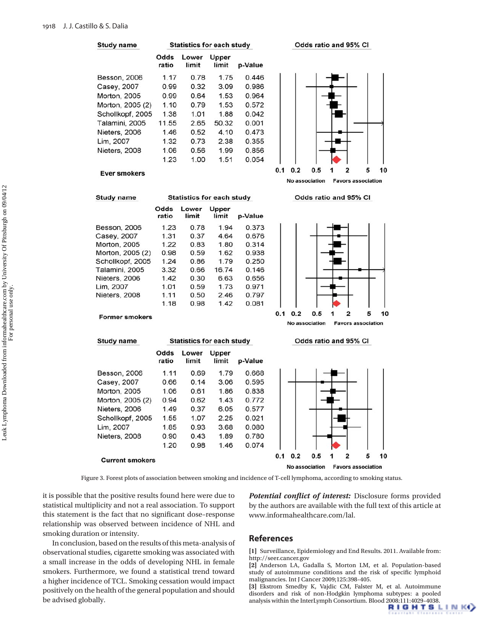**Study name Statistics for each study** Odds Upper Lower ratio limit limit p-Value **Besson, 2006**  $1.17$ 0.78 1.75 0.446 0.99  $0.32$ 3.09 Casey, 2007 0.986 Morton, 2005 0.99 0.64 1.53 0.964 0.79 Morton, 2005 (2) 1.10 1.53 0.572 Schollkopf, 2005 1.38 1.01 1.88 0.042 Talamini, 2005 11.55 2.65 50.32 0.001 Nieters, 2006 1.46  $0.52$ 4.10 0.473 Lim, 2007 1.32 0.73 2.38 0.355 Nieters, 2008 1.06  $0.56$ 1.99 0.856 1.23 1.00 1.51 0.054







**Former smokers** 

**Study name** 

Besson, 2006

Casey, 2007

Morton, 2005

Nieters, 2006

Nieters, 2008

Lim, 2007

Morton, 2005 (2)

Schollkopf, 2005

**Current smokers** 

**Study name** 



| Odds<br>ratio | Lower<br>limit | Upper<br>limit | p-Value |
|---------------|----------------|----------------|---------|
| 1.23          | 0.78           | 1.94           | 0.373   |
| 1.31          | 0.37           | 4.64           | 0.676   |
| 1.22          | 0.83           | 1.80           | 0.314   |
| 0.98          | 0.59           | 1.62           | 0.938   |
| 1.24          | 0.86           | 1.79           | 0.250   |
| 3.32          | 0.66           | 16.74          | 0.146   |
| 1.42          | 0.30           | 6.63           | 0.656   |
| 1.01          | 0.59           | 1.73           | 0.971   |
| 1.11          | 0.50           | 2.46           | 0.797   |
| 1.18          | 0.98           | 1.42           | 0.081   |
|               |                |                |         |

Odds

ratio

1.11

0.66

1.06

0.94

1.49

1.55

1.85

0.90

1.20

**Statistics for each study** 

**Statistics for each study** 

Lower

limit

0.69

 $0.14$ 

0.61

0.62

0.37

1.07

0.93

 $0.43$ 

0.98

 $0.1$  $0.2$  $0.5$  $\overline{2}$ 5 10  $\mathbf{1}$ No association **Favors association** 

Odds ratio and 95% CI



Figure 3. Forest plots of association between smoking and incidence of T-cell lymphoma, according to smoking status.

it is possible that the positive results found here were due to statistical multiplicity and not a real association. To support this statement is the fact that no significant dose-response relationship was observed between incidence of NHL and smoking duration or intensity.

 In conclusion, based on the results of this meta-analysis of observational studies, cigarette smoking was associated with a small increase in the odds of developing NHL in female smokers. Furthermore, we found a statistical trend toward a higher incidence of TCL. Smoking cessation would impact positively on the health of the general population and should be advised globally.

Potential conflict of interest: Disclosure forms provided by the authors are available with the full text of this article at www.informahealthcare.com/lal.

#### **References**

**[1]** Surveillance, Epidemiology and End Results. 2011. Available from: http://seer.cancer.gov

**[2]** Anderson LA, Gadalla S, Morton LM, et al. Population-based study of autoimmune conditions and the risk of specific lymphoid malignancies. Int J Cancer 2009;125:398 – 405.

**[3]** Ekstrom Smedby K, Vajdic CM, Falster M, et al. Autoimmune disorders and risk of non-Hodgkin lymphoma subtypes: a pooled analysis within the InterLymph Consortium. Blood 2008:111:4029-4038.<br> **RIGHTSLINK(**